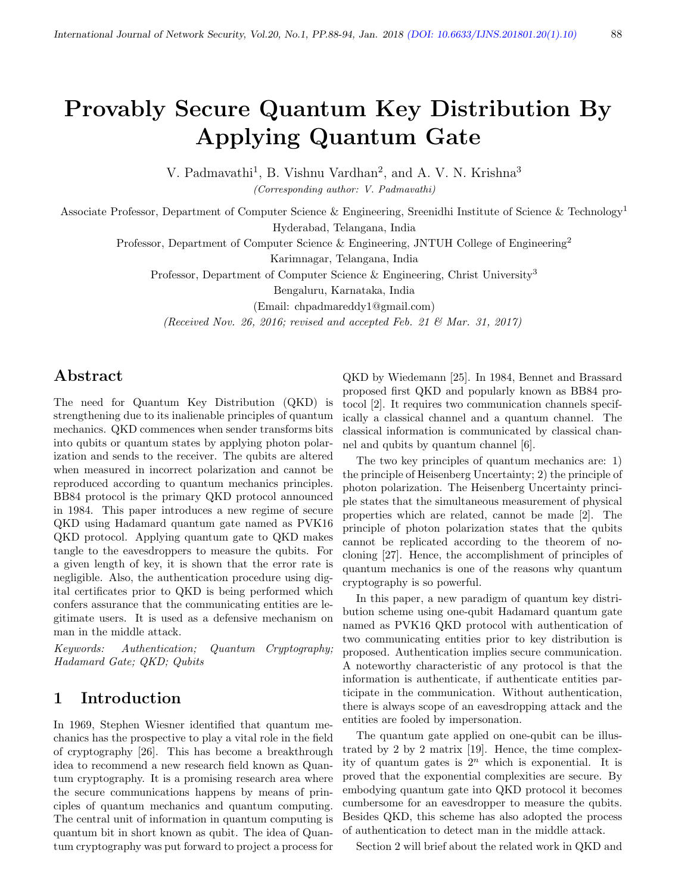# Provably Secure Quantum Key Distribution By Applying Quantum Gate

V. Padmavathi<sup>1</sup>, B. Vishnu Vardhan<sup>2</sup>, and A. V. N. Krishna<sup>3</sup>

(Corresponding author: V. Padmavathi)

Associate Professor, Department of Computer Science & Engineering, Sreenidhi Institute of Science & Technology<sup>1</sup> Hyderabad, Telangana, India

Professor, Department of Computer Science & Engineering, JNTUH College of Engineering<sup>2</sup>

Karimnagar, Telangana, India

Professor, Department of Computer Science & Engineering, Christ University<sup>3</sup>

Bengaluru, Karnataka, India

(Email: chpadmareddy1@gmail.com)

(Received Nov. 26, 2016; revised and accepted Feb. 21  $\mathcal{B}$  Mar. 31, 2017)

### Abstract

The need for Quantum Key Distribution (QKD) is strengthening due to its inalienable principles of quantum mechanics. QKD commences when sender transforms bits into qubits or quantum states by applying photon polarization and sends to the receiver. The qubits are altered when measured in incorrect polarization and cannot be reproduced according to quantum mechanics principles. BB84 protocol is the primary QKD protocol announced in 1984. This paper introduces a new regime of secure QKD using Hadamard quantum gate named as PVK16 QKD protocol. Applying quantum gate to QKD makes tangle to the eavesdroppers to measure the qubits. For a given length of key, it is shown that the error rate is negligible. Also, the authentication procedure using digital certificates prior to QKD is being performed which confers assurance that the communicating entities are legitimate users. It is used as a defensive mechanism on man in the middle attack.

Keywords: Authentication; Quantum Cryptography; Hadamard Gate; QKD; Qubits

### 1 Introduction

In 1969, Stephen Wiesner identified that quantum mechanics has the prospective to play a vital role in the field of cryptography [26]. This has become a breakthrough idea to recommend a new research field known as Quantum cryptography. It is a promising research area where the secure communications happens by means of principles of quantum mechanics and quantum computing. The central unit of information in quantum computing is quantum bit in short known as qubit. The idea of Quantum cryptography was put forward to project a process for

QKD by Wiedemann [25]. In 1984, Bennet and Brassard proposed first QKD and popularly known as BB84 protocol [2]. It requires two communication channels specifically a classical channel and a quantum channel. The classical information is communicated by classical channel and qubits by quantum channel [6].

The two key principles of quantum mechanics are: 1) the principle of Heisenberg Uncertainty; 2) the principle of photon polarization. The Heisenberg Uncertainty principle states that the simultaneous measurement of physical properties which are related, cannot be made [2]. The principle of photon polarization states that the qubits cannot be replicated according to the theorem of nocloning [27]. Hence, the accomplishment of principles of quantum mechanics is one of the reasons why quantum cryptography is so powerful.

In this paper, a new paradigm of quantum key distribution scheme using one-qubit Hadamard quantum gate named as PVK16 QKD protocol with authentication of two communicating entities prior to key distribution is proposed. Authentication implies secure communication. A noteworthy characteristic of any protocol is that the information is authenticate, if authenticate entities participate in the communication. Without authentication, there is always scope of an eavesdropping attack and the entities are fooled by impersonation.

The quantum gate applied on one-qubit can be illustrated by 2 by 2 matrix  $[19]$ . Hence, the time complexity of quantum gates is  $2^n$  which is exponential. It is proved that the exponential complexities are secure. By embodying quantum gate into QKD protocol it becomes cumbersome for an eavesdropper to measure the qubits. Besides QKD, this scheme has also adopted the process of authentication to detect man in the middle attack.

Section 2 will brief about the related work in QKD and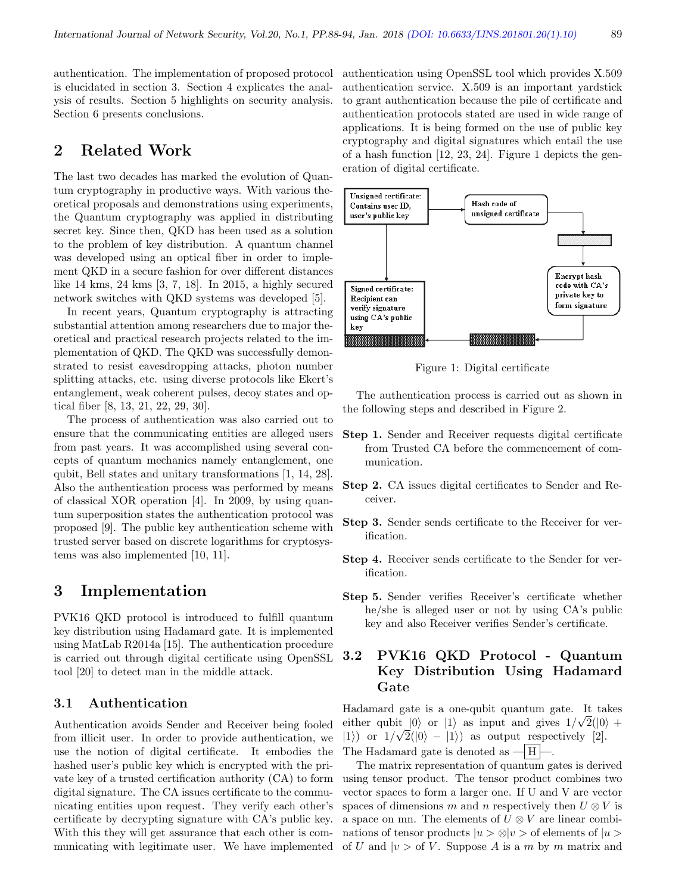authentication. The implementation of proposed protocol is elucidated in section 3. Section 4 explicates the analysis of results. Section 5 highlights on security analysis. Section 6 presents conclusions.

# 2 Related Work

The last two decades has marked the evolution of Quantum cryptography in productive ways. With various theoretical proposals and demonstrations using experiments, the Quantum cryptography was applied in distributing secret key. Since then, QKD has been used as a solution to the problem of key distribution. A quantum channel was developed using an optical fiber in order to implement QKD in a secure fashion for over different distances like 14 kms, 24 kms [3, 7, 18]. In 2015, a highly secured network switches with QKD systems was developed [5].

In recent years, Quantum cryptography is attracting substantial attention among researchers due to major theoretical and practical research projects related to the implementation of QKD. The QKD was successfully demonstrated to resist eavesdropping attacks, photon number splitting attacks, etc. using diverse protocols like Ekert's entanglement, weak coherent pulses, decoy states and optical fiber [8, 13, 21, 22, 29, 30].

The process of authentication was also carried out to ensure that the communicating entities are alleged users from past years. It was accomplished using several concepts of quantum mechanics namely entanglement, one qubit, Bell states and unitary transformations [1, 14, 28]. Also the authentication process was performed by means of classical XOR operation [4]. In 2009, by using quantum superposition states the authentication protocol was proposed [9]. The public key authentication scheme with trusted server based on discrete logarithms for cryptosystems was also implemented [10, 11].

# 3 Implementation

PVK16 QKD protocol is introduced to fulfill quantum key distribution using Hadamard gate. It is implemented using MatLab R2014a [15]. The authentication procedure is carried out through digital certificate using OpenSSL tool [20] to detect man in the middle attack.

#### 3.1 Authentication

Authentication avoids Sender and Receiver being fooled from illicit user. In order to provide authentication, we use the notion of digital certificate. It embodies the hashed user's public key which is encrypted with the private key of a trusted certification authority (CA) to form digital signature. The CA issues certificate to the communicating entities upon request. They verify each other's certificate by decrypting signature with CA's public key. With this they will get assurance that each other is communicating with legitimate user. We have implemented

authentication using OpenSSL tool which provides X.509 authentication service. X.509 is an important yardstick to grant authentication because the pile of certificate and authentication protocols stated are used in wide range of applications. It is being formed on the use of public key cryptography and digital signatures which entail the use of a hash function [12, 23, 24]. Figure 1 depicts the generation of digital certificate.



Figure 1: Digital certificate

The authentication process is carried out as shown in the following steps and described in Figure 2.

- Step 1. Sender and Receiver requests digital certificate from Trusted CA before the commencement of communication.
- Step 2. CA issues digital certificates to Sender and Receiver.
- Step 3. Sender sends certificate to the Receiver for verification.
- Step 4. Receiver sends certificate to the Sender for verification.
- Step 5. Sender verifies Receiver's certificate whether he/she is alleged user or not by using CA's public key and also Receiver verifies Sender's certificate.

### 3.2 PVK16 QKD Protocol - Quantum Key Distribution Using Hadamard Gate

Hadamard gate is a one-qubit quantum gate. It takes √ either qubit  $|0\rangle$  or  $|1\rangle$  as input and gives  $1/\sqrt{2}(|0\rangle +$  $|1\rangle$  or  $1/\sqrt{2}(|0\rangle - |1\rangle)$  as output respectively [2]. The Hadamard gate is denoted as  $-|H|$ .

The matrix representation of quantum gates is derived using tensor product. The tensor product combines two vector spaces to form a larger one. If U and V are vector spaces of dimensions m and n respectively then  $U \otimes V$  is a space on mn. The elements of  $U \otimes V$  are linear combinations of tensor products  $|u\rangle \otimes |v\rangle$  of elements of  $|u\rangle$ of U and  $|v\rangle$  of V. Suppose A is a m by m matrix and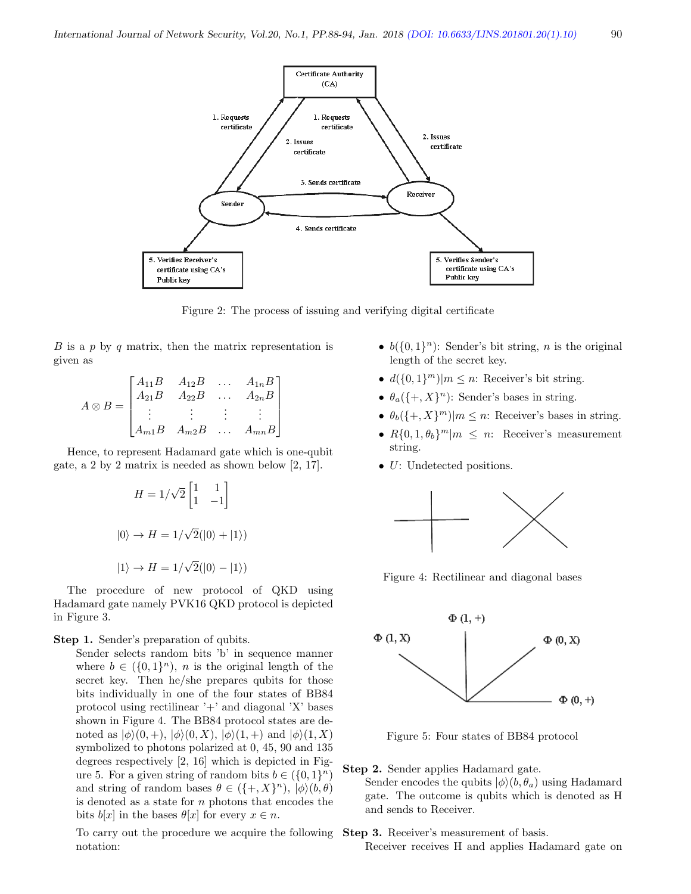

Figure 2: The process of issuing and verifying digital certificate

 $B$  is a p by q matrix, then the matrix representation is given as

$$
A \otimes B = \begin{bmatrix} A_{11}B & A_{12}B & \dots & A_{1n}B \\ A_{21}B & A_{22}B & \dots & A_{2n}B \\ \vdots & \vdots & \vdots & \vdots \\ A_{m1}B & A_{m2}B & \dots & A_{mn}B \end{bmatrix}
$$

Hence, to represent Hadamard gate which is one-qubit gate, a 2 by 2 matrix is needed as shown below [2, 17].

$$
H = 1/\sqrt{2} \begin{bmatrix} 1 & 1 \\ 1 & -1 \end{bmatrix}
$$

$$
|0\rangle \rightarrow H = 1/\sqrt{2}(|0\rangle + |1\rangle)
$$

$$
|1\rangle \rightarrow H = 1/\sqrt{2}(|0\rangle - |1\rangle)
$$

The procedure of new protocol of QKD using Hadamard gate namely PVK16 QKD protocol is depicted in Figure 3.

#### Step 1. Sender's preparation of qubits.

Sender selects random bits 'b' in sequence manner where  $b \in (\{0,1\}^n)$ , *n* is the original length of the secret key. Then he/she prepares qubits for those bits individually in one of the four states of BB84 protocol using rectilinear  $'$ +' and diagonal 'X' bases shown in Figure 4. The BB84 protocol states are denoted as  $|\phi\rangle(0, +), |\phi\rangle(0, X), |\phi\rangle(1, +)$  and  $|\phi\rangle(1, X)$ symbolized to photons polarized at 0, 45, 90 and 135 degrees respectively [2, 16] which is depicted in Figure 5. For a given string of random bits  $b \in (\{0,1\}^n)$ and string of random bases  $\theta \in (\{+, X\}^n), |\phi\rangle (b, \theta)$ is denoted as a state for  $n$  photons that encodes the bits  $b[x]$  in the bases  $\theta[x]$  for every  $x \in n$ .

To carry out the procedure we acquire the following notation:

- $b({0,1}<sup>n</sup>)$ : Sender's bit string, *n* is the original length of the secret key.
- $d({0,1}^m)|m \leq n$ : Receiver's bit string.
- $\theta_a(\{\text{+}, X\}^n)$ : Sender's bases in string.
- $\theta_b({+, X}^m)|m \leq n$ : Receiver's bases in string.
- $R{0,1,\theta_b}^m|m \leq n$ : Receiver's measurement string.
- *U*: Undetected positions.



Figure 4: Rectilinear and diagonal bases



Figure 5: Four states of BB84 protocol

#### Step 2. Sender applies Hadamard gate.

Sender encodes the qubits  $|\phi\rangle(b, \theta_a)$  using Hadamard gate. The outcome is qubits which is denoted as H and sends to Receiver.

Step 3. Receiver's measurement of basis.

Receiver receives H and applies Hadamard gate on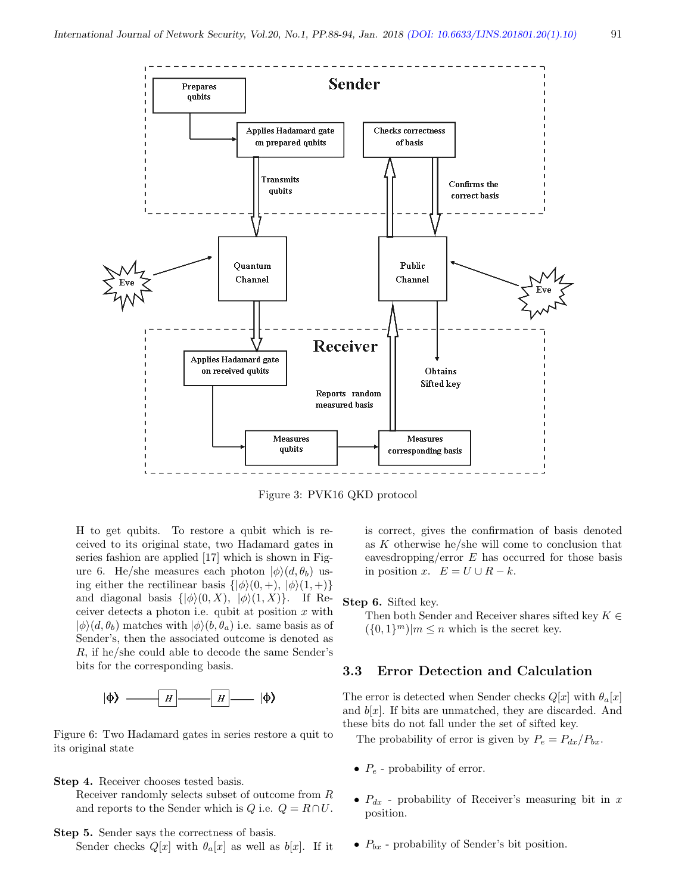

Obtains **Sifted key** 

**Measures** 

corresponding basis

Figure 3: PVK16 QKD protocol

**Measures** 

qubits

Reports random measured basis

H to get qubits. To restore a qubit which is received to its original state, two Hadamard gates in series fashion are applied [17] which is shown in Figure 6. He/she measures each photon  $|\phi\rangle(d, \theta_b)$  using either the rectilinear basis  $\{|\phi\rangle(0, +), |\phi\rangle(1, +)\}$ and diagonal basis  $\{|\phi\rangle(0, X), |\phi\rangle(1, X)\}.$  If Receiver detects a photon i.e. qubit at position  $x$  with  $|\phi\rangle(d, \theta_b)$  matches with  $|\phi\rangle(b, \theta_a)$  i.e. same basis as of Sender's, then the associated outcome is denoted as R, if he/she could able to decode the same Sender's bits for the corresponding basis.

Applies Hadamard gate on received qubits



Figure 6: Two Hadamard gates in series restore a quit to its original state

Step 4. Receiver chooses tested basis.

Receiver randomly selects subset of outcome from R and reports to the Sender which is  $Q$  i.e.  $Q = R \cap U$ .

Step 5. Sender says the correctness of basis.

Sender checks  $Q[x]$  with  $\theta_a[x]$  as well as  $b[x]$ . If it

is correct, gives the confirmation of basis denoted as  $K$  otherwise he/she will come to conclusion that eavesdropping/error  $E$  has occurred for those basis in position x.  $E = U \cup R - k$ .

Step 6. Sifted key.

Then both Sender and Receiver shares sifted key  $K \in$  $({0,1}<sup>m</sup>)|m \le n$  which is the secret key.

#### 3.3 Error Detection and Calculation

The error is detected when Sender checks  $Q[x]$  with  $\theta_a[x]$ and  $b[x]$ . If bits are unmatched, they are discarded. And these bits do not fall under the set of sifted key.

The probability of error is given by  $P_e = P_{dx}/P_{bx}$ .

- $P_e$  probability of error.
- $P_{dx}$  probability of Receiver's measuring bit in x position.
- $P_{bx}$  probability of Sender's bit position.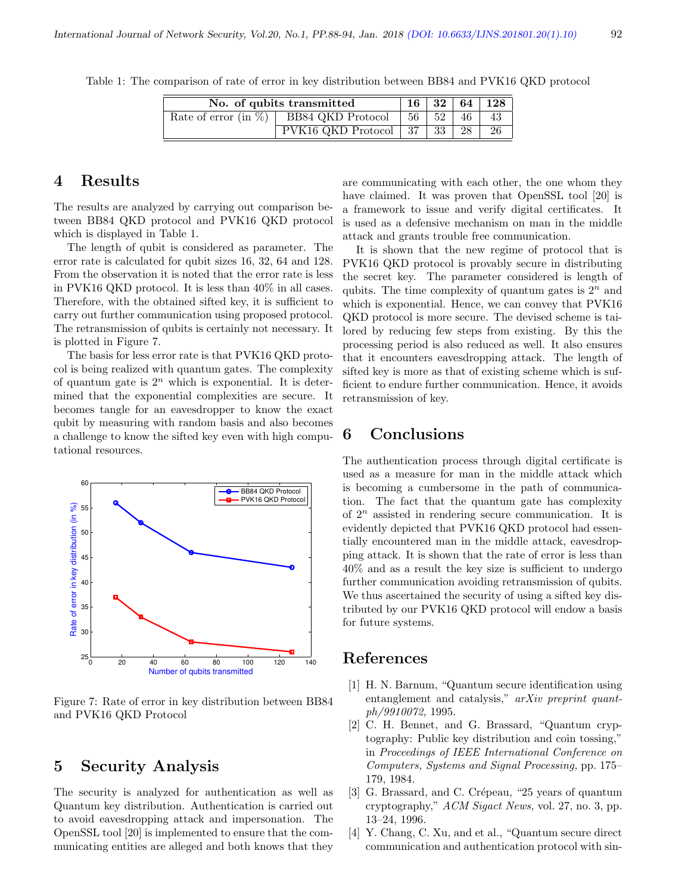| I       |  |
|---------|--|
| ×<br>۰, |  |

| No. of qubits transmitted |                                            | 16 <sup>1</sup> |                 |    | 32 64 128 |
|---------------------------|--------------------------------------------|-----------------|-----------------|----|-----------|
|                           | Rate of error (in $\%$ ) BB84 QKD Protocol | - 56            | 52 <sup>1</sup> | 46 | 43        |
|                           | PVK16 QKD Protocol 37                      |                 | - 33 I          | 28 | 26        |

Table 1: The comparison of rate of error in key distribution between BB84 and PVK16 QKD protocol

# 4 Results

The results are analyzed by carrying out comparison between BB84 QKD protocol and PVK16 QKD protocol which is displayed in Table 1.

The length of qubit is considered as parameter. The error rate is calculated for qubit sizes 16, 32, 64 and 128. From the observation it is noted that the error rate is less in PVK16 QKD protocol. It is less than 40% in all cases. Therefore, with the obtained sifted key, it is sufficient to carry out further communication using proposed protocol. The retransmission of qubits is certainly not necessary. It is plotted in Figure 7.

The basis for less error rate is that PVK16 QKD protocol is being realized with quantum gates. The complexity of quantum gate is  $2^n$  which is exponential. It is determined that the exponential complexities are secure. It becomes tangle for an eavesdropper to know the exact qubit by measuring with random basis and also becomes a challenge to know the sifted key even with high computational resources.



Figure 7: Rate of error in key distribution between BB84 and PVK16 QKD Protocol

### 5 Security Analysis

The security is analyzed for authentication as well as Quantum key distribution. Authentication is carried out to avoid eavesdropping attack and impersonation. The OpenSSL tool [20] is implemented to ensure that the communicating entities are alleged and both knows that they

are communicating with each other, the one whom they have claimed. It was proven that OpenSSL tool [20] is a framework to issue and verify digital certificates. It is used as a defensive mechanism on man in the middle attack and grants trouble free communication.

It is shown that the new regime of protocol that is PVK16 QKD protocol is provably secure in distributing the secret key. The parameter considered is length of qubits. The time complexity of quantum gates is  $2^n$  and which is exponential. Hence, we can convey that PVK16 QKD protocol is more secure. The devised scheme is tailored by reducing few steps from existing. By this the processing period is also reduced as well. It also ensures that it encounters eavesdropping attack. The length of sifted key is more as that of existing scheme which is sufficient to endure further communication. Hence, it avoids retransmission of key.

# 6 Conclusions

The authentication process through digital certificate is used as a measure for man in the middle attack which is becoming a cumbersome in the path of communication. The fact that the quantum gate has complexity of  $2^n$  assisted in rendering secure communication. It is evidently depicted that PVK16 QKD protocol had essentially encountered man in the middle attack, eavesdropping attack. It is shown that the rate of error is less than 40% and as a result the key size is sufficient to undergo further communication avoiding retransmission of qubits. We thus ascertained the security of using a sifted key distributed by our PVK16 QKD protocol will endow a basis for future systems.

### References

- [1] H. N. Barnum, "Quantum secure identification using entanglement and catalysis," arXiv preprint quantph/9910072, 1995.
- [2] C. H. Bennet, and G. Brassard, "Quantum cryptography: Public key distribution and coin tossing," in Proceedings of IEEE International Conference on Computers, Systems and Signal Processing, pp. 175– 179, 1984.
- [3] G. Brassard, and C. Crépeau, "25 years of quantum cryptography," ACM Sigact News, vol. 27, no. 3, pp. 13–24, 1996.
- [4] Y. Chang, C. Xu, and et al., "Quantum secure direct communication and authentication protocol with sin-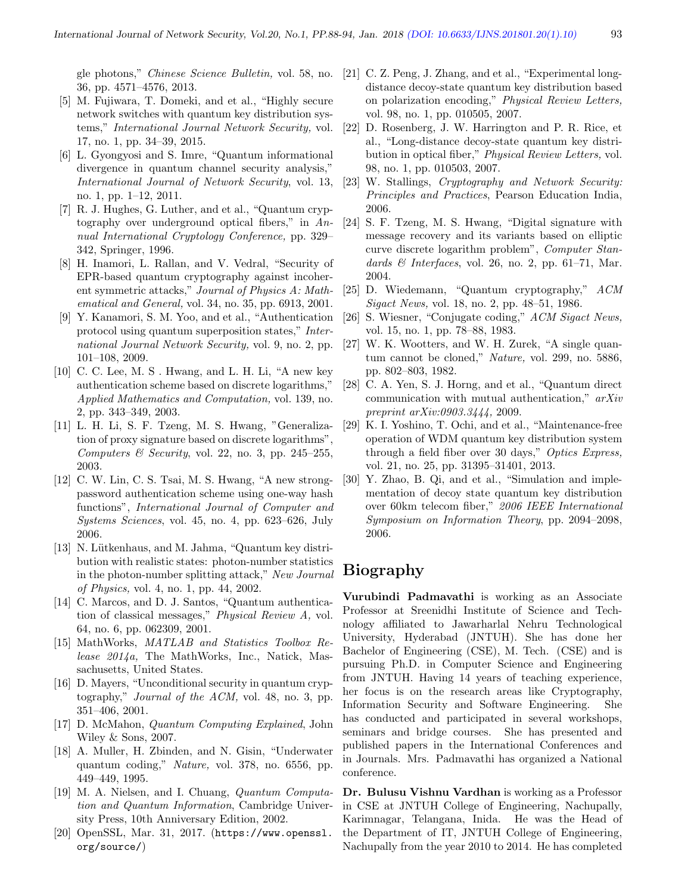gle photons," Chinese Science Bulletin, vol. 58, no. 36, pp. 4571–4576, 2013.

- [5] M. Fujiwara, T. Domeki, and et al., "Highly secure network switches with quantum key distribution systems," International Journal Network Security, vol. 17, no. 1, pp. 34–39, 2015.
- [6] L. Gyongyosi and S. Imre, "Quantum informational divergence in quantum channel security analysis," International Journal of Network Security, vol. 13, no. 1, pp. 1–12, 2011.
- [7] R. J. Hughes, G. Luther, and et al., "Quantum cryptography over underground optical fibers," in  $An$ nual International Cryptology Conference, pp. 329– 342, Springer, 1996.
- [8] H. Inamori, L. Rallan, and V. Vedral, "Security of EPR-based quantum cryptography against incoherent symmetric attacks," Journal of Physics A: Mathematical and General, vol. 34, no. 35, pp. 6913, 2001.
- [9] Y. Kanamori, S. M. Yoo, and et al., "Authentication protocol using quantum superposition states," International Journal Network Security, vol. 9, no. 2, pp. 101–108, 2009.
- [10] C. C. Lee, M. S . Hwang, and L. H. Li, "A new key authentication scheme based on discrete logarithms," Applied Mathematics and Computation, vol. 139, no. 2, pp. 343–349, 2003.
- [11] L. H. Li, S. F. Tzeng, M. S. Hwang, "Generalization of proxy signature based on discrete logarithms", Computers  $\mathcal B$  Security, vol. 22, no. 3, pp. 245–255, 2003.
- [12] C. W. Lin, C. S. Tsai, M. S. Hwang, "A new strongpassword authentication scheme using one-way hash functions", International Journal of Computer and Systems Sciences, vol. 45, no. 4, pp. 623–626, July 2006.
- [13] N. Lütkenhaus, and M. Jahma, "Quantum key distribution with realistic states: photon-number statistics in the photon-number splitting attack," New Journal of Physics, vol. 4, no. 1, pp. 44, 2002.
- [14] C. Marcos, and D. J. Santos, "Quantum authentication of classical messages," Physical Review A, vol. 64, no. 6, pp. 062309, 2001.
- [15] MathWorks, MATLAB and Statistics Toolbox Release 2014a, The MathWorks, Inc., Natick, Massachusetts, United States.
- [16] D. Mayers, "Unconditional security in quantum cryptography," Journal of the ACM, vol. 48, no. 3, pp. 351–406, 2001.
- [17] D. McMahon, Quantum Computing Explained, John Wiley & Sons, 2007.
- [18] A. Muller, H. Zbinden, and N. Gisin, "Underwater quantum coding," Nature, vol. 378, no. 6556, pp. 449–449, 1995.
- [19] M. A. Nielsen, and I. Chuang, Quantum Computation and Quantum Information, Cambridge University Press, 10th Anniversary Edition, 2002.
- [20] OpenSSL, Mar. 31, 2017. (https://www.openssl. org/source/)
- [21] C. Z. Peng, J. Zhang, and et al., "Experimental longdistance decoy-state quantum key distribution based on polarization encoding," Physical Review Letters, vol. 98, no. 1, pp. 010505, 2007.
- [22] D. Rosenberg, J. W. Harrington and P. R. Rice, et al., "Long-distance decoy-state quantum key distribution in optical fiber," Physical Review Letters, vol. 98, no. 1, pp. 010503, 2007.
- [23] W. Stallings, Cryptography and Network Security: Principles and Practices, Pearson Education India, 2006.
- [24] S. F. Tzeng, M. S. Hwang, "Digital signature with message recovery and its variants based on elliptic curve discrete logarithm problem", Computer Standards  $\mathcal{B}$  Interfaces, vol. 26, no. 2, pp. 61–71, Mar. 2004.
- [25] D. Wiedemann, "Quantum cryptography," ACM Sigact News, vol. 18, no. 2, pp. 48–51, 1986.
- [26] S. Wiesner, "Conjugate coding," ACM Sigact News, vol. 15, no. 1, pp. 78–88, 1983.
- [27] W. K. Wootters, and W. H. Zurek, "A single quantum cannot be cloned," Nature, vol. 299, no. 5886, pp. 802–803, 1982.
- [28] C. A. Yen, S. J. Horng, and et al., "Quantum direct communication with mutual authentication," arXiv preprint arXiv:0903.3444, 2009.
- [29] K. I. Yoshino, T. Ochi, and et al., "Maintenance-free operation of WDM quantum key distribution system through a field fiber over 30 days," Optics Express, vol. 21, no. 25, pp. 31395–31401, 2013.
- [30] Y. Zhao, B. Qi, and et al., "Simulation and implementation of decoy state quantum key distribution over 60km telecom fiber," 2006 IEEE International Symposium on Information Theory, pp. 2094–2098, 2006.

# Biography

Vurubindi Padmavathi is working as an Associate Professor at Sreenidhi Institute of Science and Technology affiliated to Jawarharlal Nehru Technological University, Hyderabad (JNTUH). She has done her Bachelor of Engineering (CSE), M. Tech. (CSE) and is pursuing Ph.D. in Computer Science and Engineering from JNTUH. Having 14 years of teaching experience, her focus is on the research areas like Cryptography, Information Security and Software Engineering. She has conducted and participated in several workshops, seminars and bridge courses. She has presented and published papers in the International Conferences and in Journals. Mrs. Padmavathi has organized a National conference.

Dr. Bulusu Vishnu Vardhan is working as a Professor in CSE at JNTUH College of Engineering, Nachupally, Karimnagar, Telangana, Inida. He was the Head of the Department of IT, JNTUH College of Engineering, Nachupally from the year 2010 to 2014. He has completed